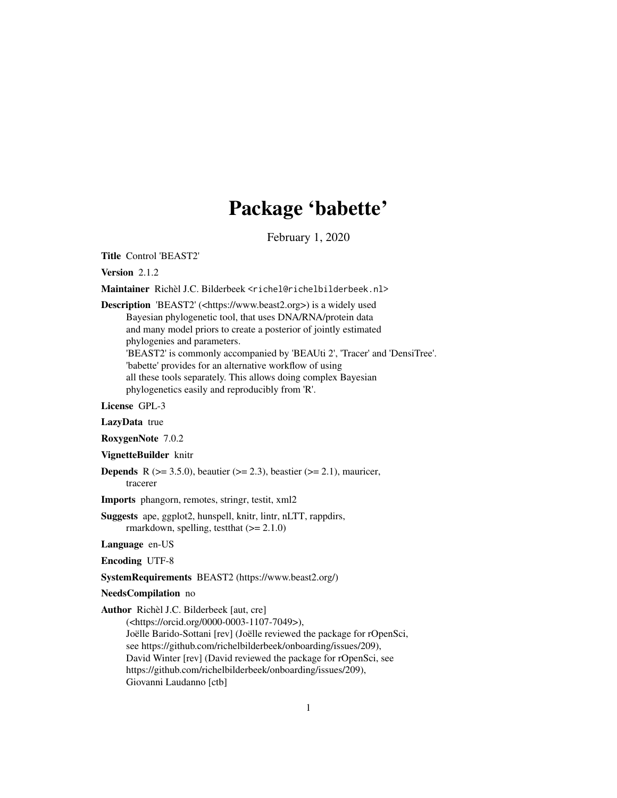# Package 'babette'

February 1, 2020

<span id="page-0-0"></span>Title Control 'BEAST2'

Version 2.1.2

Maintainer Richèl J.C. Bilderbeek <richel@richelbilderbeek.nl>

Description 'BEAST2' (<https://www.beast2.org>) is a widely used Bayesian phylogenetic tool, that uses DNA/RNA/protein data and many model priors to create a posterior of jointly estimated phylogenies and parameters. 'BEAST2' is commonly accompanied by 'BEAUti 2', 'Tracer' and 'DensiTree'. 'babette' provides for an alternative workflow of using all these tools separately. This allows doing complex Bayesian

phylogenetics easily and reproducibly from 'R'.

License GPL-3

LazyData true

RoxygenNote 7.0.2

VignetteBuilder knitr

**Depends** R ( $>= 3.5.0$ ), beautier ( $>= 2.3$ ), beastier ( $>= 2.1$ ), mauricer, tracerer

Imports phangorn, remotes, stringr, testit, xml2

Suggests ape, ggplot2, hunspell, knitr, lintr, nLTT, rappdirs, rmarkdown, spelling, test that  $(>= 2.1.0)$ 

Language en-US

Encoding UTF-8

SystemRequirements BEAST2 (https://www.beast2.org/)

NeedsCompilation no

Author Richèl J.C. Bilderbeek [aut, cre]

(<https://orcid.org/0000-0003-1107-7049>), Joëlle Barido-Sottani [rev] (Joëlle reviewed the package for rOpenSci, see https://github.com/richelbilderbeek/onboarding/issues/209), David Winter [rev] (David reviewed the package for rOpenSci, see https://github.com/richelbilderbeek/onboarding/issues/209), Giovanni Laudanno [ctb]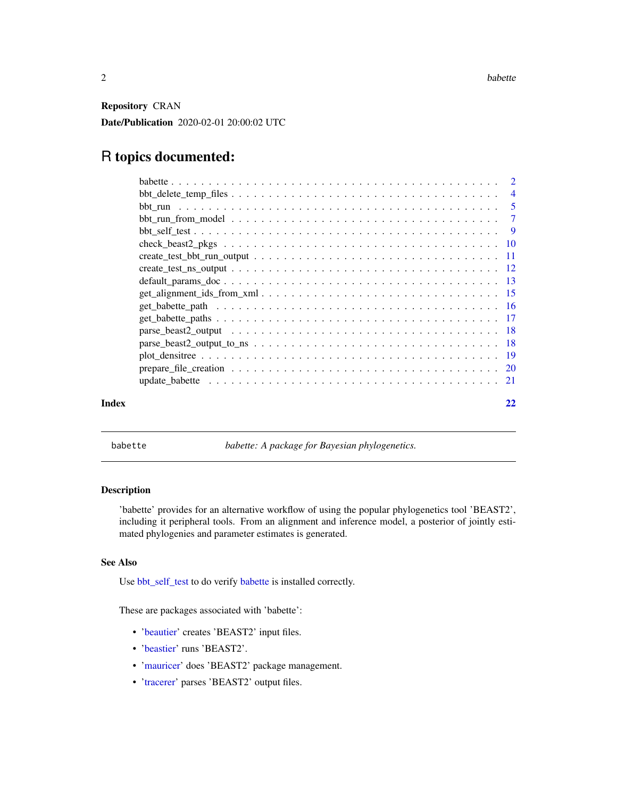<span id="page-1-0"></span>Repository CRAN

Date/Publication 2020-02-01 20:00:02 UTC

# R topics documented:

|       | $bb\_delete\_temp\_files \ldots \ldots \ldots \ldots \ldots \ldots \ldots \ldots \ldots \ldots \ldots$                              | $\overline{4}$ |
|-------|-------------------------------------------------------------------------------------------------------------------------------------|----------------|
|       |                                                                                                                                     |                |
|       |                                                                                                                                     |                |
|       |                                                                                                                                     |                |
|       |                                                                                                                                     |                |
|       | $create_test_bbt_run\_output \dots \dots \dots \dots \dots \dots \dots \dots \dots \dots \dots \dots \dots \dots \dots \dots \dots$ |                |
|       |                                                                                                                                     |                |
|       |                                                                                                                                     |                |
|       | $get\_alignment\_ids\_from\_xml \dots \dots \dots \dots \dots \dots \dots \dots \dots \dots \dots \dots \dots \dots \dots \dots$    |                |
|       |                                                                                                                                     |                |
|       |                                                                                                                                     |                |
|       |                                                                                                                                     |                |
|       |                                                                                                                                     |                |
|       |                                                                                                                                     |                |
|       |                                                                                                                                     |                |
|       |                                                                                                                                     |                |
| Index |                                                                                                                                     |                |

<span id="page-1-1"></span>babette *babette: A package for Bayesian phylogenetics.*

# Description

'babette' provides for an alternative workflow of using the popular phylogenetics tool 'BEAST2', including it peripheral tools. From an alignment and inference model, a posterior of jointly estimated phylogenies and parameter estimates is generated.

# See Also

Use [bbt\\_self\\_test](#page-8-1) to do verify [babette](#page-1-1) is installed correctly.

These are packages associated with 'babette':

- ['beautier'](#page-0-0) creates 'BEAST2' input files.
- ['beastier'](#page-0-0) runs 'BEAST2'.
- ['mauricer'](#page-0-0) does 'BEAST2' package management.
- ['tracerer'](#page-0-0) parses 'BEAST2' output files.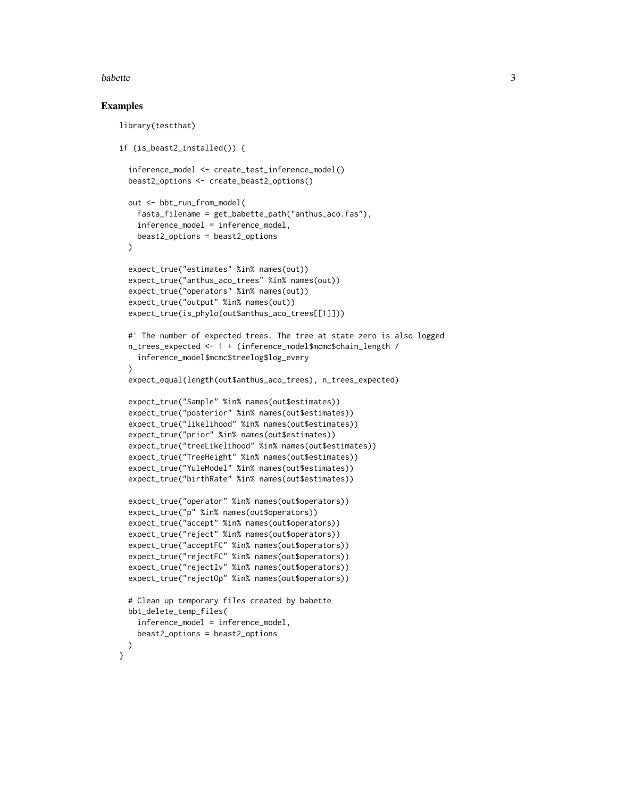#### babette 3

# Examples

```
library(testthat)
if (is_beast2_installed()) {
  inference_model <- create_test_inference_model()
 beast2_options <- create_beast2_options()
 out <- bbt_run_from_model(
    fasta_filename = get_babette_path("anthus_aco.fas"),
    inference_model = inference_model,
   beast2_options = beast2_options
 \lambdaexpect_true("estimates" %in% names(out))
 expect_true("anthus_aco_trees" %in% names(out))
 expect_true("operators" %in% names(out))
 expect_true("output" %in% names(out))
 expect_true(is_phylo(out$anthus_aco_trees[[1]]))
 #' The number of expected trees. The tree at state zero is also logged
 n_trees_expected <- 1 + (inference_model$mcmc$chain_length /
    inference_model$mcmc$treelog$log_every
 )
 expect_equal(length(out$anthus_aco_trees), n_trees_expected)
 expect_true("Sample" %in% names(out$estimates))
 expect_true("posterior" %in% names(out$estimates))
 expect_true("likelihood" %in% names(out$estimates))
 expect_true("prior" %in% names(out$estimates))
 expect_true("treeLikelihood" %in% names(out$estimates))
 expect_true("TreeHeight" %in% names(out$estimates))
  expect_true("YuleModel" %in% names(out$estimates))
 expect_true("birthRate" %in% names(out$estimates))
 expect_true("operator" %in% names(out$operators))
 expect_true("p" %in% names(out$operators))
 expect_true("accept" %in% names(out$operators))
 expect_true("reject" %in% names(out$operators))
 expect_true("acceptFC" %in% names(out$operators))
 expect_true("rejectFC" %in% names(out$operators))
 expect_true("rejectIv" %in% names(out$operators))
 expect_true("rejectOp" %in% names(out$operators))
 # Clean up temporary files created by babette
 bbt_delete_temp_files(
    inference_model = inference_model,
   beast2_options = beast2_options
 )
}
```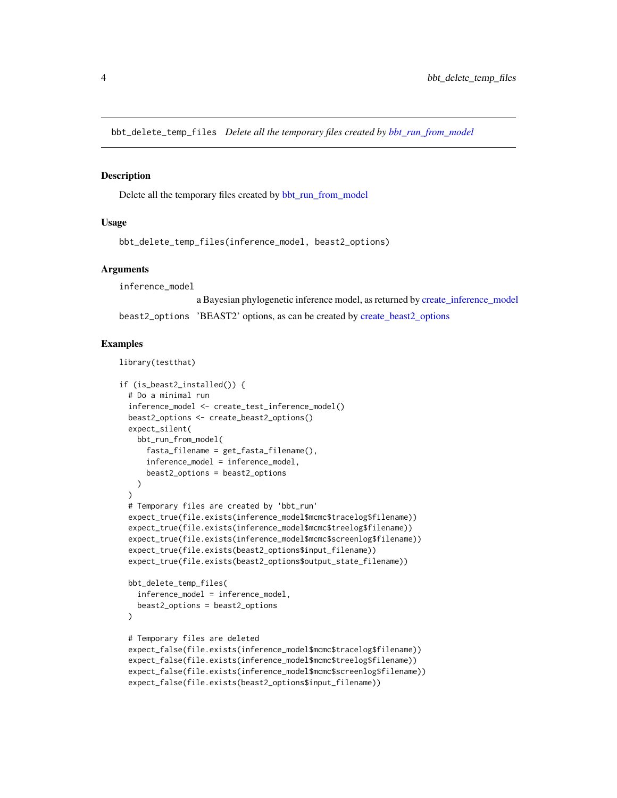<span id="page-3-0"></span>bbt\_delete\_temp\_files *Delete all the temporary files created by [bbt\\_run\\_from\\_model](#page-6-1)*

# Description

Delete all the temporary files created by [bbt\\_run\\_from\\_model](#page-6-1)

# Usage

```
bbt_delete_temp_files(inference_model, beast2_options)
```
# Arguments

inference\_model

a Bayesian phylogenetic inference model, as returned by [create\\_inference\\_model](#page-0-0) beast2\_options 'BEAST2' options, as can be created by [create\\_beast2\\_options](#page-0-0)

#### Examples

```
library(testthat)
```

```
if (is_beast2_installed()) {
 # Do a minimal run
 inference_model <- create_test_inference_model()
 beast2_options <- create_beast2_options()
 expect_silent(
   bbt_run_from_model(
     fasta_filename = get_fasta_filename(),
     inference_model = inference_model,
     beast2_options = beast2_options
   )
 )
 # Temporary files are created by 'bbt_run'
 expect_true(file.exists(inference_model$mcmc$tracelog$filename))
 expect_true(file.exists(inference_model$mcmc$treelog$filename))
 expect_true(file.exists(inference_model$mcmc$screenlog$filename))
 expect_true(file.exists(beast2_options$input_filename))
 expect_true(file.exists(beast2_options$output_state_filename))
 bbt_delete_temp_files(
    inference_model = inference_model,
   beast2_options = beast2_options
 )
 # Temporary files are deleted
 expect_false(file.exists(inference_model$mcmc$tracelog$filename))
 expect_false(file.exists(inference_model$mcmc$treelog$filename))
 expect_false(file.exists(inference_model$mcmc$screenlog$filename))
 expect_false(file.exists(beast2_options$input_filename))
```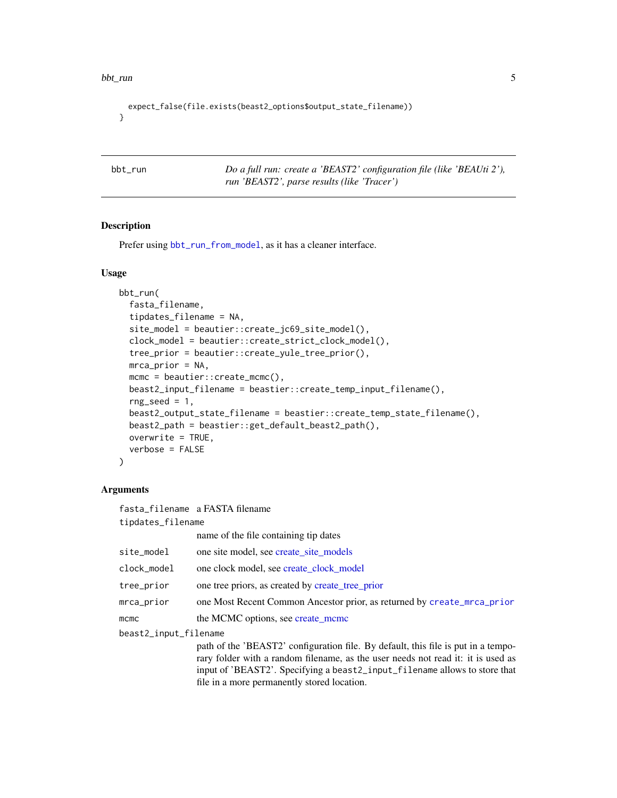```
expect_false(file.exists(beast2_options$output_state_filename))
}
```
<span id="page-4-1"></span>bbt\_run *Do a full run: create a 'BEAST2' configuration file (like 'BEAUti 2'), run 'BEAST2', parse results (like 'Tracer')*

# Description

Prefer using [bbt\\_run\\_from\\_model](#page-6-1), as it has a cleaner interface.

#### Usage

```
bbt_run(
  fasta_filename,
  tipdates_filename = NA,
  site_model = beautier::create_jc69_site_model(),
  clock_model = beautier::create_strict_clock_model(),
  tree_prior = beautier::create_yule_tree_prior(),
 mrca_prior = NA,
 mcmc = beautier::create_mcmc(),
 beast2_input_filename = beastier::create_temp_input_filename(),
  rng\_seed = 1,
  beast2_output_state_filename = beastier::create_temp_state_filename(),
  beast2_path = beastier::get_default_beast2_path(),
  overwrite = TRUE,
  verbose = FALSE
\lambda
```
#### Arguments

fasta\_filename a FASTA filename tipdates\_filename name of the file containing tip dates site\_model one site model, see [create\\_site\\_models](#page-0-0) clock\_model one clock model, see [create\\_clock\\_model](#page-0-0) tree\_prior one tree priors, as created by [create\\_tree\\_prior](#page-0-0) mrca\_prior one Most Recent Common Ancestor prior, as returned by [create\\_mrca\\_prior](#page-0-0) mcmc the MCMC options, see [create\\_mcmc](#page-0-0) beast2\_input\_filename path of the 'BEAST2' configuration file. By default, this file is put in a temporary folder with a random filename, as the user needs not read it: it is used as input of 'BEAST2'. Specifying a beast2\_input\_filename allows to store that file in a more permanently stored location.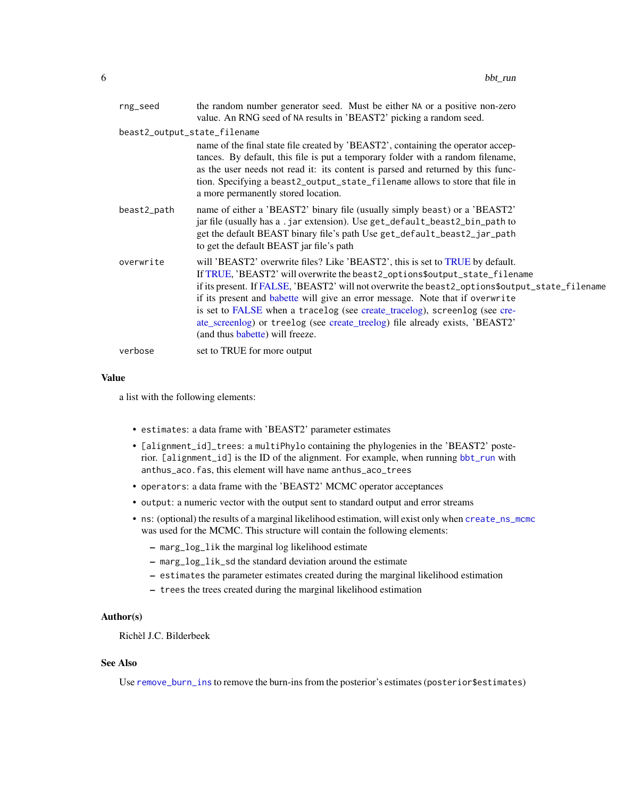<span id="page-5-0"></span>

| rng_seed                     | the random number generator seed. Must be either NA or a positive non-zero<br>value. An RNG seed of NA results in 'BEAST2' picking a random seed.                                                                                                                                                                                                                                                                                                                                                                                                |
|------------------------------|--------------------------------------------------------------------------------------------------------------------------------------------------------------------------------------------------------------------------------------------------------------------------------------------------------------------------------------------------------------------------------------------------------------------------------------------------------------------------------------------------------------------------------------------------|
| beast2_output_state_filename |                                                                                                                                                                                                                                                                                                                                                                                                                                                                                                                                                  |
|                              | name of the final state file created by 'BEAST2', containing the operator accep-<br>tances. By default, this file is put a temporary folder with a random filename,<br>as the user needs not read it: its content is parsed and returned by this func-<br>tion. Specifying a beast2_output_state_filename allows to store that file in<br>a more permanently stored location.                                                                                                                                                                    |
| beast2_path                  | name of either a 'BEAST2' binary file (usually simply beast) or a 'BEAST2'<br>jar file (usually has a.jar extension). Use get_default_beast2_bin_path to<br>get the default BEAST binary file's path Use get_default_beast2_jar_path<br>to get the default BEAST jar file's path                                                                                                                                                                                                                                                                 |
| overwrite                    | will 'BEAST2' overwrite files? Like 'BEAST2', this is set to TRUE by default.<br>If TRUE, 'BEAST2' will overwrite the beast2_options\$output_state_filename<br>if its present. If FALSE, 'BEAST2' will not overwrite the beast2_options\$output_state_filename<br>if its present and babette will give an error message. Note that if overwrite<br>is set to FALSE when a tracelog (see create_tracelog), screenlog (see cre-<br>ate_screenlog) or treelog (see create_treelog) file already exists, 'BEAST2'<br>(and thus babette) will freeze. |
| verbose                      | set to TRUE for more output                                                                                                                                                                                                                                                                                                                                                                                                                                                                                                                      |

#### Value

a list with the following elements:

- estimates: a data frame with 'BEAST2' parameter estimates
- [alignment\_id]\_trees: a multiPhylo containing the phylogenies in the 'BEAST2' posterior. [alignment\_id] is the ID of the alignment. For example, when running [bbt\\_run](#page-4-1) with anthus\_aco.fas, this element will have name anthus\_aco\_trees
- operators: a data frame with the 'BEAST2' MCMC operator acceptances
- output: a numeric vector with the output sent to standard output and error streams
- ns: (optional) the results of a marginal likelihood estimation, will exist only when [create\\_ns\\_mcmc](#page-0-0) was used for the MCMC. This structure will contain the following elements:
	- marg\_log\_lik the marginal log likelihood estimate
	- marg\_log\_lik\_sd the standard deviation around the estimate
	- estimates the parameter estimates created during the marginal likelihood estimation
	- trees the trees created during the marginal likelihood estimation

# Author(s)

Richèl J.C. Bilderbeek

# See Also

Use [remove\\_burn\\_ins](#page-0-0) to remove the burn-ins from the posterior's estimates (posterior\$estimates)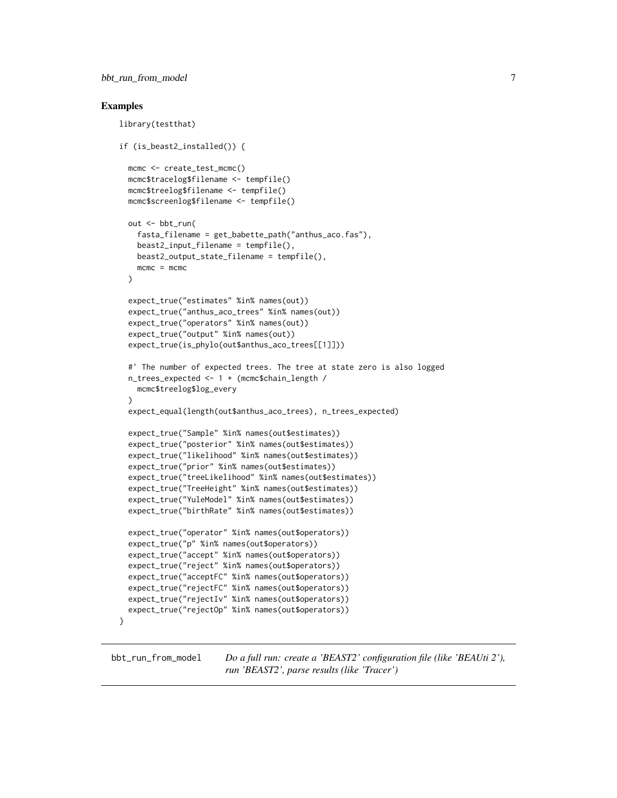# <span id="page-6-0"></span>Examples

```
library(testthat)
if (is_beast2_installed()) {
 mcmc <- create_test_mcmc()
 mcmc$tracelog$filename <- tempfile()
 mcmc$treelog$filename <- tempfile()
 mcmc$screenlog$filename <- tempfile()
 out <- bbt_run(
    fasta_filename = get_babette_path("anthus_aco.fas"),
   beast2_input_filename = tempfile(),
   beast2_output_state_filename = tempfile(),
   mcmc = mcmc
 )
 expect_true("estimates" %in% names(out))
 expect_true("anthus_aco_trees" %in% names(out))
 expect_true("operators" %in% names(out))
 expect_true("output" %in% names(out))
 expect_true(is_phylo(out$anthus_aco_trees[[1]]))
 #' The number of expected trees. The tree at state zero is also logged
 n_trees_expected <- 1 + (mcmc$chain_length /
   mcmc$treelog$log_every
 )
 expect_equal(length(out$anthus_aco_trees), n_trees_expected)
 expect_true("Sample" %in% names(out$estimates))
 expect_true("posterior" %in% names(out$estimates))
 expect_true("likelihood" %in% names(out$estimates))
 expect_true("prior" %in% names(out$estimates))
 expect_true("treeLikelihood" %in% names(out$estimates))
 expect_true("TreeHeight" %in% names(out$estimates))
 expect_true("YuleModel" %in% names(out$estimates))
 expect_true("birthRate" %in% names(out$estimates))
 expect_true("operator" %in% names(out$operators))
 expect_true("p" %in% names(out$operators))
 expect_true("accept" %in% names(out$operators))
 expect_true("reject" %in% names(out$operators))
 expect_true("acceptFC" %in% names(out$operators))
 expect_true("rejectFC" %in% names(out$operators))
 expect_true("rejectIv" %in% names(out$operators))
 expect_true("rejectOp" %in% names(out$operators))
}
```
<span id="page-6-1"></span>bbt\_run\_from\_model *Do a full run: create a 'BEAST2' configuration file (like 'BEAUti 2'), run 'BEAST2', parse results (like 'Tracer')*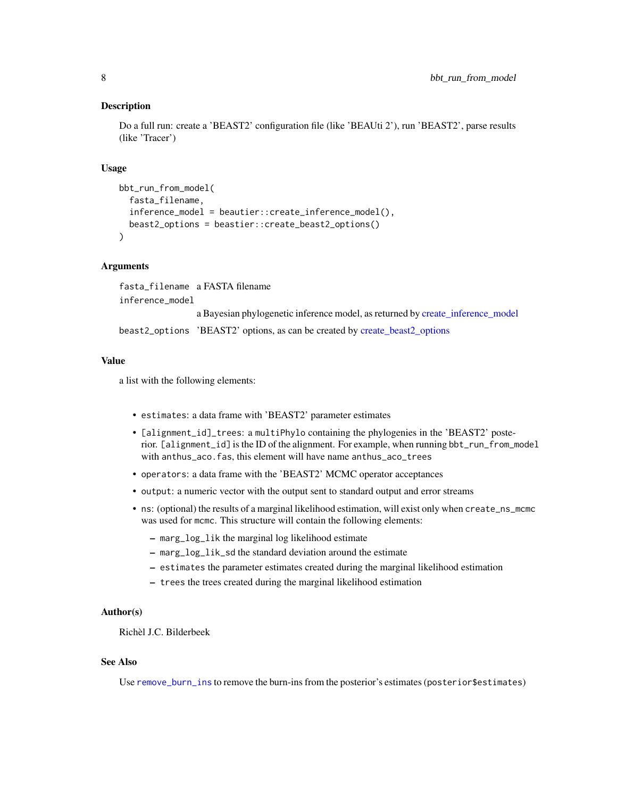# <span id="page-7-0"></span>Description

Do a full run: create a 'BEAST2' configuration file (like 'BEAUti 2'), run 'BEAST2', parse results (like 'Tracer')

# Usage

```
bbt_run_from_model(
  fasta_filename,
  inference_model = beautier::create_inference_model(),
 beast2_options = beastier::create_beast2_options()
)
```
# Arguments

fasta\_filename a FASTA filename inference\_model a Bayesian phylogenetic inference model, as returned by [create\\_inference\\_model](#page-0-0) beast2\_options 'BEAST2' options, as can be created by [create\\_beast2\\_options](#page-0-0)

#### Value

a list with the following elements:

- estimates: a data frame with 'BEAST2' parameter estimates
- [alignment\_id]\_trees: a multiPhylo containing the phylogenies in the 'BEAST2' posterior. [alignment\_id] is the ID of the alignment. For example, when running bbt\_run\_from\_model with anthus\_aco.fas, this element will have name anthus\_aco\_trees
- operators: a data frame with the 'BEAST2' MCMC operator acceptances
- output: a numeric vector with the output sent to standard output and error streams
- ns: (optional) the results of a marginal likelihood estimation, will exist only when create\_ns\_mcmc was used for mcmc. This structure will contain the following elements:
	- marg\_log\_lik the marginal log likelihood estimate
	- marg\_log\_lik\_sd the standard deviation around the estimate
	- estimates the parameter estimates created during the marginal likelihood estimation
	- trees the trees created during the marginal likelihood estimation

#### Author(s)

Richèl J.C. Bilderbeek

# See Also

Use [remove\\_burn\\_ins](#page-0-0) to remove the burn-ins from the posterior's estimates (posterior\$estimates)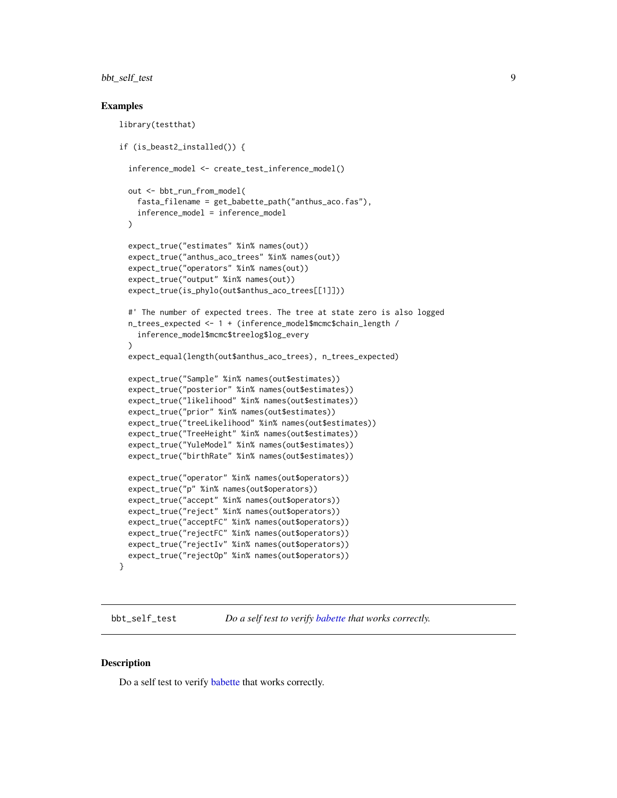# <span id="page-8-0"></span>bbt\_self\_test 9

# Examples

```
library(testthat)
if (is_beast2_installed()) {
 inference_model <- create_test_inference_model()
 out <- bbt_run_from_model(
    fasta_filename = get_babette_path("anthus_aco.fas"),
    inference_model = inference_model
 \lambdaexpect_true("estimates" %in% names(out))
 expect_true("anthus_aco_trees" %in% names(out))
 expect_true("operators" %in% names(out))
 expect_true("output" %in% names(out))
 expect_true(is_phylo(out$anthus_aco_trees[[1]]))
 #' The number of expected trees. The tree at state zero is also logged
 n_trees_expected <- 1 + (inference_model$mcmc$chain_length /
    inference_model$mcmc$treelog$log_every
  )
 expect_equal(length(out$anthus_aco_trees), n_trees_expected)
 expect_true("Sample" %in% names(out$estimates))
 expect_true("posterior" %in% names(out$estimates))
 expect_true("likelihood" %in% names(out$estimates))
 expect_true("prior" %in% names(out$estimates))
 expect_true("treeLikelihood" %in% names(out$estimates))
 expect_true("TreeHeight" %in% names(out$estimates))
 expect_true("YuleModel" %in% names(out$estimates))
 expect_true("birthRate" %in% names(out$estimates))
 expect_true("operator" %in% names(out$operators))
 expect_true("p" %in% names(out$operators))
 expect_true("accept" %in% names(out$operators))
 expect_true("reject" %in% names(out$operators))
 expect_true("acceptFC" %in% names(out$operators))
 expect_true("rejectFC" %in% names(out$operators))
 expect_true("rejectIv" %in% names(out$operators))
 expect_true("rejectOp" %in% names(out$operators))
}
```
<span id="page-8-1"></span>bbt\_self\_test *Do a self test to verify [babette](#page-1-1) that works correctly.*

# **Description**

Do a self test to verify [babette](#page-1-1) that works correctly.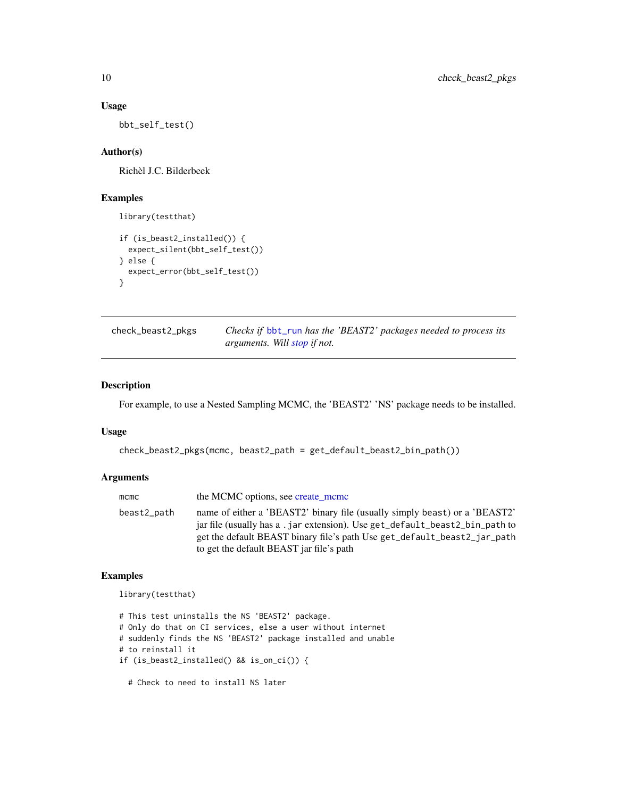# Usage

bbt\_self\_test()

# Author(s)

Richèl J.C. Bilderbeek

# Examples

```
library(testthat)
if (is_beast2_installed()) {
  expect_silent(bbt_self_test())
} else {
  expect_error(bbt_self_test())
}
```

| check_beast2_pkgs | Checks if bbt_run has the 'BEAST2' packages needed to process its |
|-------------------|-------------------------------------------------------------------|
|                   | <i>arguments. Will stop if not.</i>                               |

# Description

For example, to use a Nested Sampling MCMC, the 'BEAST2' 'NS' package needs to be installed.

# Usage

```
check_beast2_pkgs(mcmc, beast2_path = get_default_beast2_bin_path())
```
# Arguments

| $m$ c $m$ c | the MCMC options, see create_mcmc                                                                                                                                                                                                                                                 |
|-------------|-----------------------------------------------------------------------------------------------------------------------------------------------------------------------------------------------------------------------------------------------------------------------------------|
| beast2_path | name of either a 'BEAST2' binary file (usually simply beast) or a 'BEAST2'<br>jar file (usually has a .jar extension). Use get_default_beast2_bin_path to<br>get the default BEAST binary file's path Use get_default_beast2_jar_path<br>to get the default BEAST jar file's path |
|             |                                                                                                                                                                                                                                                                                   |

# Examples

library(testthat)

# This test uninstalls the NS 'BEAST2' package. # Only do that on CI services, else a user without internet # suddenly finds the NS 'BEAST2' package installed and unable # to reinstall it if (is\_beast2\_installed() && is\_on\_ci()) {

# Check to need to install NS later

<span id="page-9-0"></span>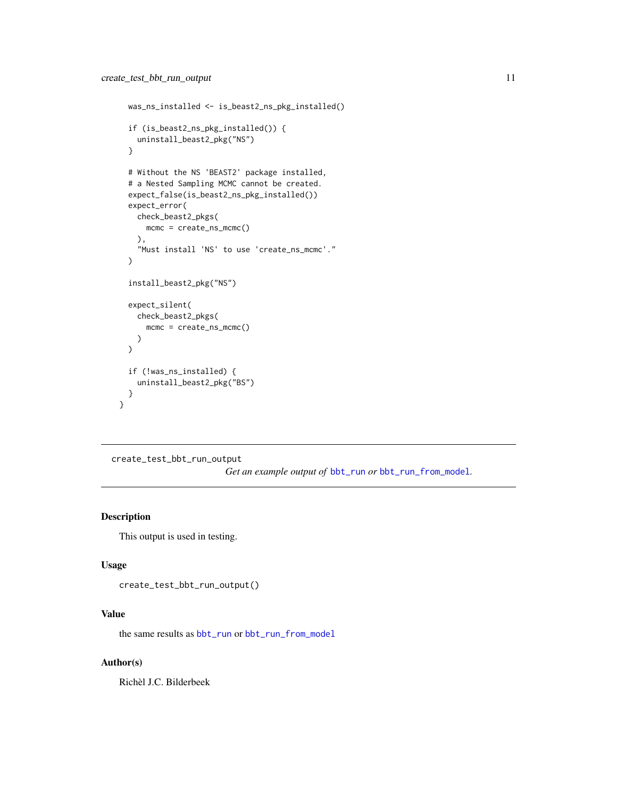```
was_ns_installed <- is_beast2_ns_pkg_installed()
 if (is_beast2_ns_pkg_installed()) {
   uninstall_beast2_pkg("NS")
 }
 # Without the NS 'BEAST2' package installed,
 # a Nested Sampling MCMC cannot be created.
 expect_false(is_beast2_ns_pkg_installed())
 expect_error(
   check_beast2_pkgs(
     mcmc = create_ns_mcmc()
    ),
    "Must install 'NS' to use 'create_ns_mcmc'."
 )
 install_beast2_pkg("NS")
 expect_silent(
    check_beast2_pkgs(
     mcmc = create_ns_mcmc()
   \lambda\mathcal{L}if (!was_ns_installed) {
    uninstall_beast2_pkg("BS")
 }
}
```

```
create_test_bbt_run_output
```
*Get an example output of* [bbt\\_run](#page-4-1) *or* [bbt\\_run\\_from\\_model](#page-6-1)*.*

# Description

This output is used in testing.

# Usage

```
create_test_bbt_run_output()
```
# Value

the same results as [bbt\\_run](#page-4-1) or [bbt\\_run\\_from\\_model](#page-6-1)

# Author(s)

Richèl J.C. Bilderbeek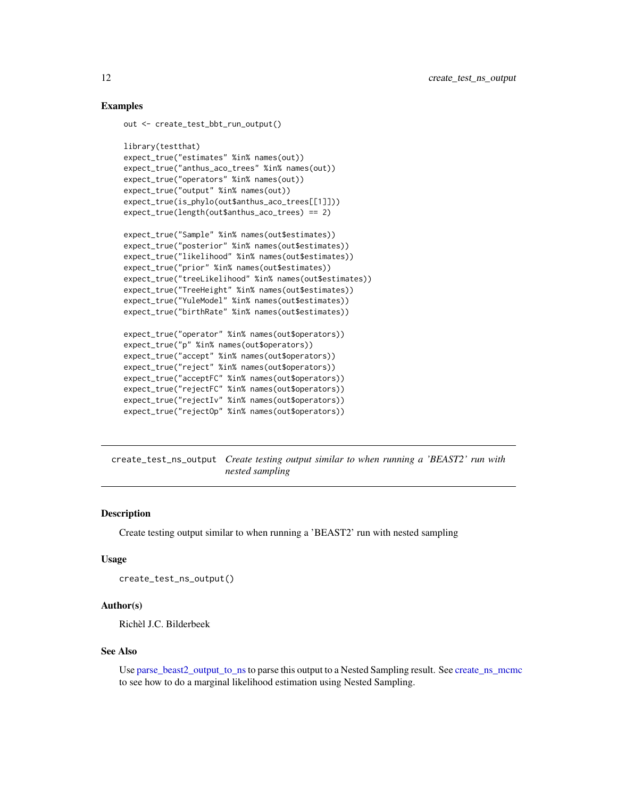# Examples

```
out <- create_test_bbt_run_output()
```

```
library(testthat)
expect_true("estimates" %in% names(out))
expect_true("anthus_aco_trees" %in% names(out))
expect_true("operators" %in% names(out))
expect_true("output" %in% names(out))
expect_true(is_phylo(out$anthus_aco_trees[[1]]))
expect_true(length(out$anthus_aco_trees) == 2)
```

```
expect_true("Sample" %in% names(out$estimates))
expect_true("posterior" %in% names(out$estimates))
expect_true("likelihood" %in% names(out$estimates))
expect_true("prior" %in% names(out$estimates))
expect_true("treeLikelihood" %in% names(out$estimates))
expect_true("TreeHeight" %in% names(out$estimates))
expect_true("YuleModel" %in% names(out$estimates))
expect_true("birthRate" %in% names(out$estimates))
```

```
expect_true("operator" %in% names(out$operators))
expect_true("p" %in% names(out$operators))
expect_true("accept" %in% names(out$operators))
expect_true("reject" %in% names(out$operators))
expect_true("acceptFC" %in% names(out$operators))
expect_true("rejectFC" %in% names(out$operators))
expect_true("rejectIv" %in% names(out$operators))
expect_true("rejectOp" %in% names(out$operators))
```
<span id="page-11-1"></span>create\_test\_ns\_output *Create testing output similar to when running a 'BEAST2' run with nested sampling*

# **Description**

Create testing output similar to when running a 'BEAST2' run with nested sampling

#### Usage

```
create_test_ns_output()
```
# Author(s)

Richèl J.C. Bilderbeek

#### See Also

Use [parse\\_beast2\\_output\\_to\\_ns](#page-17-1)to parse this output to a Nested Sampling result. See [create\\_ns\\_mcmc](#page-0-0) to see how to do a marginal likelihood estimation using Nested Sampling.

<span id="page-11-0"></span>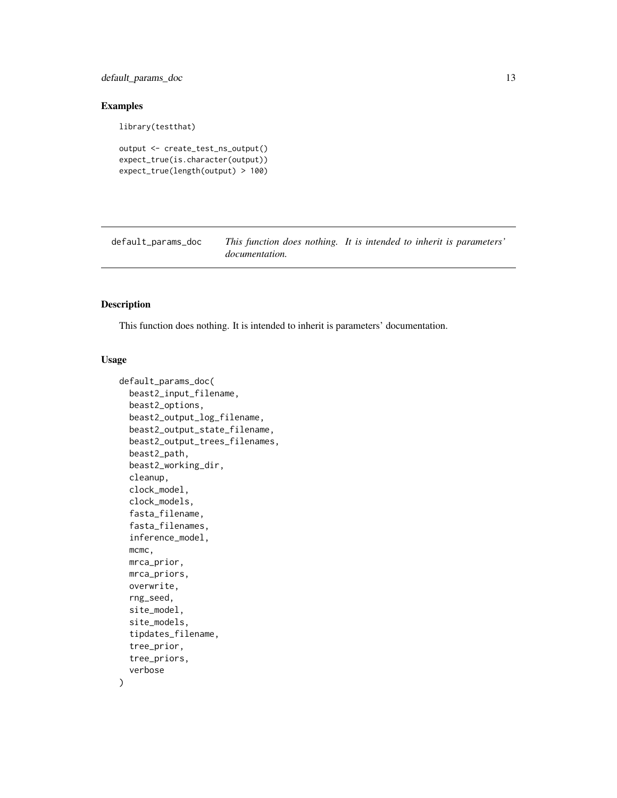<span id="page-12-0"></span>default\_params\_doc 13

# Examples

```
library(testthat)
```

```
output <- create_test_ns_output()
expect_true(is.character(output))
expect_true(length(output) > 100)
```
default\_params\_doc *This function does nothing. It is intended to inherit is parameters' documentation.*

# Description

This function does nothing. It is intended to inherit is parameters' documentation.

# Usage

```
default_params_doc(
  beast2_input_filename,
 beast2_options,
 beast2_output_log_filename,
  beast2_output_state_filename,
  beast2_output_trees_filenames,
  beast2_path,
  beast2_working_dir,
  cleanup,
  clock_model,
  clock_models,
  fasta_filename,
  fasta_filenames,
  inference_model,
 mcmc,
 mrca_prior,
 mrca_priors,
 overwrite,
  rng_seed,
  site_model,
  site_models,
  tipdates_filename,
  tree_prior,
  tree_priors,
  verbose
```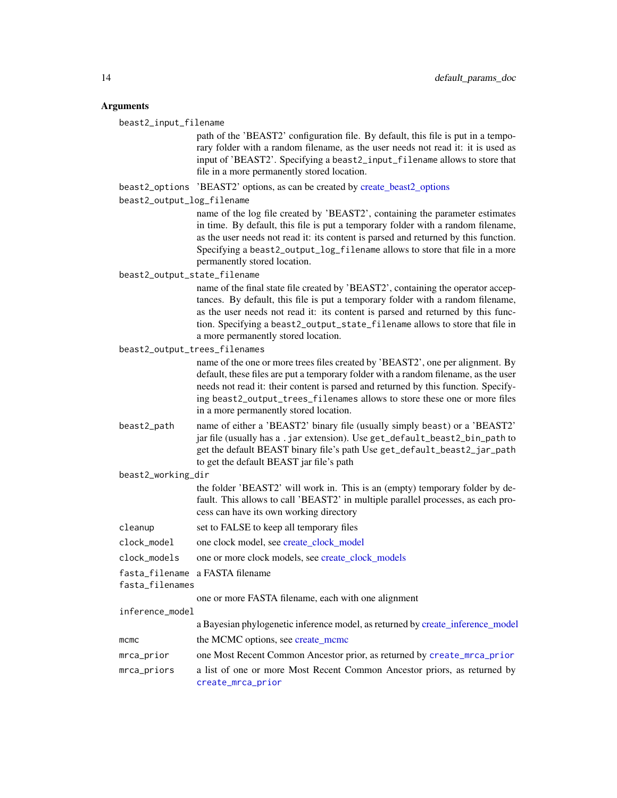# <span id="page-13-0"></span>Arguments

beast2\_input\_filename

path of the 'BEAST2' configuration file. By default, this file is put in a temporary folder with a random filename, as the user needs not read it: it is used as input of 'BEAST2'. Specifying a beast2\_input\_filename allows to store that file in a more permanently stored location.

beast2\_options 'BEAST2' options, as can be created by [create\\_beast2\\_options](#page-0-0)

beast2\_output\_log\_filename

name of the log file created by 'BEAST2', containing the parameter estimates in time. By default, this file is put a temporary folder with a random filename, as the user needs not read it: its content is parsed and returned by this function. Specifying a beast2\_output\_log\_filename allows to store that file in a more permanently stored location.

#### beast2\_output\_state\_filename

name of the final state file created by 'BEAST2', containing the operator acceptances. By default, this file is put a temporary folder with a random filename, as the user needs not read it: its content is parsed and returned by this function. Specifying a beast2\_output\_state\_filename allows to store that file in a more permanently stored location.

beast2\_output\_trees\_filenames

name of the one or more trees files created by 'BEAST2', one per alignment. By default, these files are put a temporary folder with a random filename, as the user needs not read it: their content is parsed and returned by this function. Specifying beast2\_output\_trees\_filenames allows to store these one or more files in a more permanently stored location.

beast2\_path name of either a 'BEAST2' binary file (usually simply beast) or a 'BEAST2' jar file (usually has a .jar extension). Use get\_default\_beast2\_bin\_path to get the default BEAST binary file's path Use get\_default\_beast2\_jar\_path to get the default BEAST jar file's path

#### beast2\_working\_dir

the folder 'BEAST2' will work in. This is an (empty) temporary folder by default. This allows to call 'BEAST2' in multiple parallel processes, as each process can have its own working directory

- cleanup set to FALSE to keep all temporary files
- clock\_model one clock model, see [create\\_clock\\_model](#page-0-0)
- clock\_models one or more clock models, see [create\\_clock\\_models](#page-0-0)
- fasta\_filename a FASTA filename
- fasta\_filenames

one or more FASTA filename, each with one alignment

inference\_model

|            | a Bayesian phylogenetic inference model, as returned by create inference model |
|------------|--------------------------------------------------------------------------------|
| mcmc       | the MCMC options, see create mcmc                                              |
| mrca_prior | one Most Recent Common Ancestor prior, as returned by create_mrca_prior        |
|            |                                                                                |

mrca\_priors a list of one or more Most Recent Common Ancestor priors, as returned by [create\\_mrca\\_prior](#page-0-0)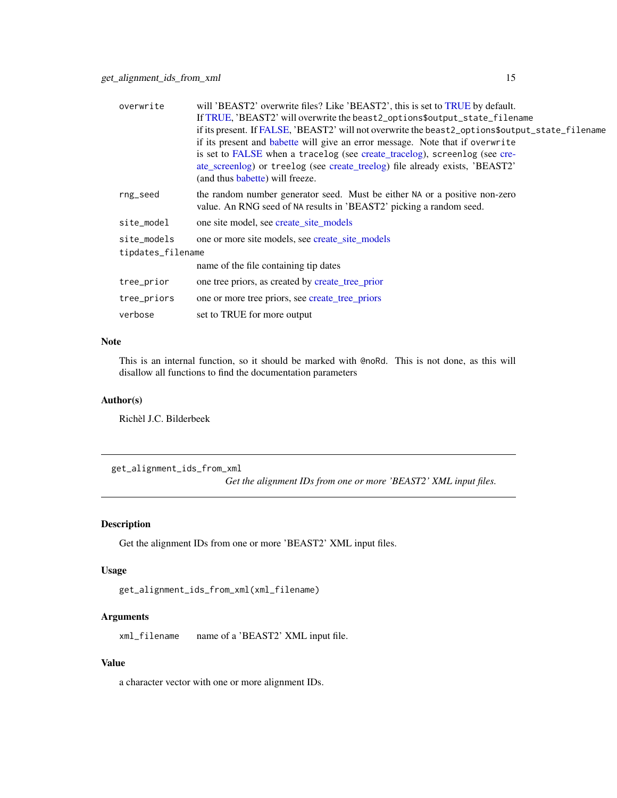<span id="page-14-0"></span>

| overwrite         | will 'BEAST2' overwrite files? Like 'BEAST2', this is set to TRUE by default.                   |
|-------------------|-------------------------------------------------------------------------------------------------|
|                   | If TRUE, 'BEAST2' will overwrite the beast2_options\$output_state_filename                      |
|                   | if its present. If FALSE, 'BEAST2' will not overwrite the beast2_options\$output_state_filename |
|                   | if its present and babette will give an error message. Note that if overwrite                   |
|                   | is set to FALSE when a tracelog (see create_tracelog), screenlog (see cre-                      |
|                   | ate_screenlog) or treelog (see create_treelog) file already exists, 'BEAST2'                    |
|                   | (and thus babette) will freeze.                                                                 |
| rng_seed          | the random number generator seed. Must be either NA or a positive non-zero                      |
|                   | value. An RNG seed of NA results in 'BEAST2' picking a random seed.                             |
| site_model        | one site model, see create_site_models                                                          |
| site_models       | one or more site models, see create site models                                                 |
| tipdates_filename |                                                                                                 |
|                   | name of the file containing tip dates                                                           |
| tree_prior        | one tree priors, as created by create_tree_prior                                                |
| tree_priors       | one or more tree priors, see create_tree_priors                                                 |
| verbose           | set to TRUE for more output                                                                     |
|                   |                                                                                                 |

# Note

This is an internal function, so it should be marked with @noRd. This is not done, as this will disallow all functions to find the documentation parameters

# Author(s)

Richèl J.C. Bilderbeek

get\_alignment\_ids\_from\_xml

*Get the alignment IDs from one or more 'BEAST2' XML input files.*

# Description

Get the alignment IDs from one or more 'BEAST2' XML input files.

# Usage

get\_alignment\_ids\_from\_xml(xml\_filename)

# Arguments

xml\_filename name of a 'BEAST2' XML input file.

# Value

a character vector with one or more alignment IDs.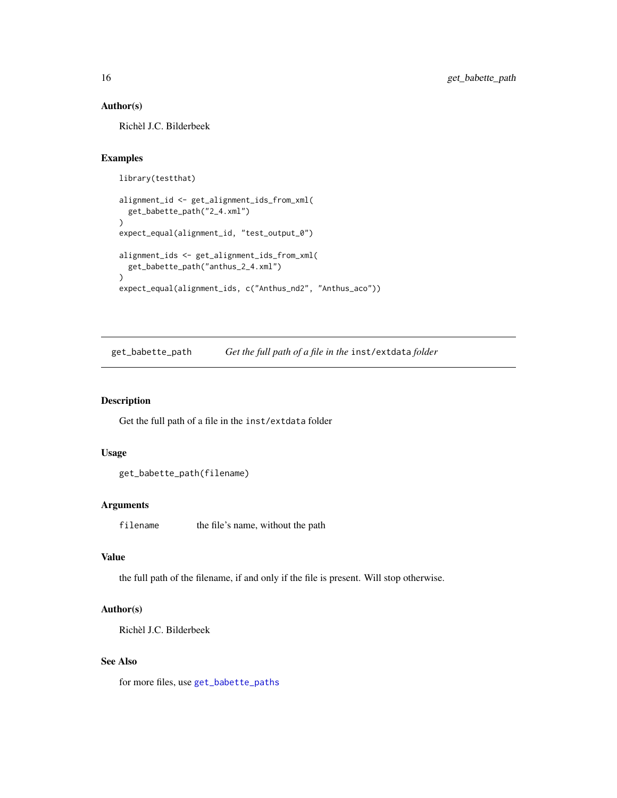# <span id="page-15-0"></span>Author(s)

Richèl J.C. Bilderbeek

# Examples

```
library(testthat)
alignment_id <- get_alignment_ids_from_xml(
 get_babette_path("2_4.xml")
)
expect_equal(alignment_id, "test_output_0")
alignment_ids <- get_alignment_ids_from_xml(
 get_babette_path("anthus_2_4.xml")
)
expect_equal(alignment_ids, c("Anthus_nd2", "Anthus_aco"))
```
<span id="page-15-1"></span>get\_babette\_path *Get the full path of a file in the* inst/extdata *folder*

# Description

Get the full path of a file in the inst/extdata folder

# Usage

```
get_babette_path(filename)
```
#### Arguments

filename the file's name, without the path

# Value

the full path of the filename, if and only if the file is present. Will stop otherwise.

# Author(s)

Richèl J.C. Bilderbeek

# See Also

for more files, use [get\\_babette\\_paths](#page-16-1)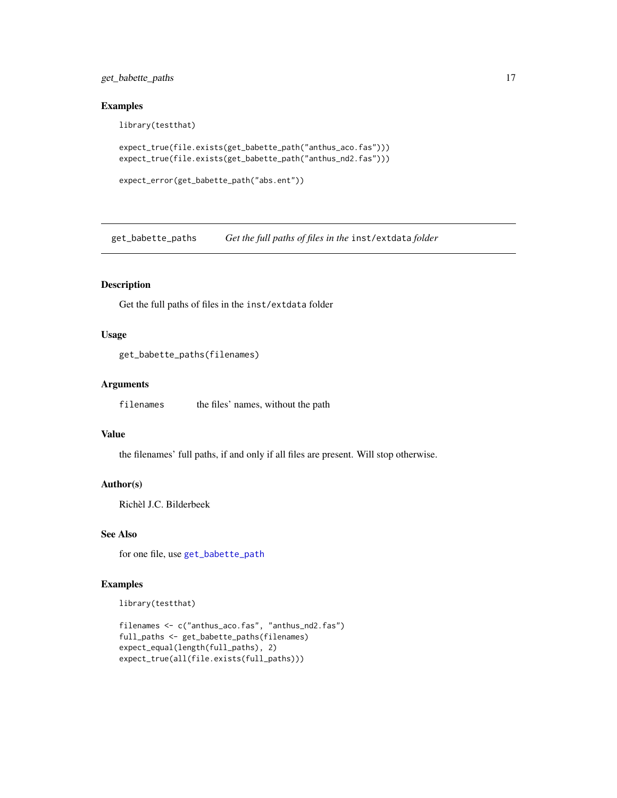<span id="page-16-0"></span>get\_babette\_paths 17

#### Examples

library(testthat)

```
expect_true(file.exists(get_babette_path("anthus_aco.fas")))
expect_true(file.exists(get_babette_path("anthus_nd2.fas")))
```

```
expect_error(get_babette_path("abs.ent"))
```
<span id="page-16-1"></span>get\_babette\_paths *Get the full paths of files in the* inst/extdata *folder*

# Description

Get the full paths of files in the inst/extdata folder

# Usage

get\_babette\_paths(filenames)

# Arguments

filenames the files' names, without the path

# Value

the filenames' full paths, if and only if all files are present. Will stop otherwise.

#### Author(s)

Richèl J.C. Bilderbeek

# See Also

for one file, use [get\\_babette\\_path](#page-15-1)

# Examples

library(testthat)

```
filenames <- c("anthus_aco.fas", "anthus_nd2.fas")
full_paths <- get_babette_paths(filenames)
expect_equal(length(full_paths), 2)
expect_true(all(file.exists(full_paths)))
```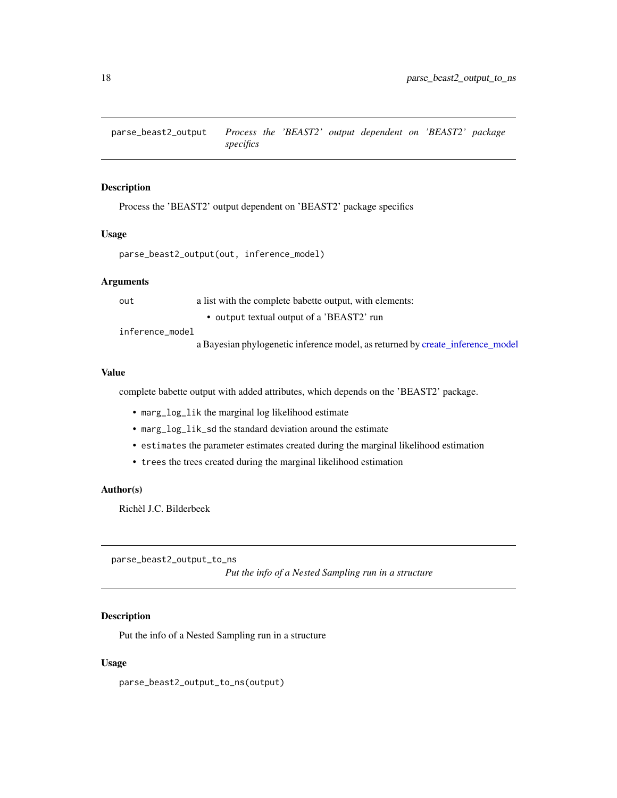<span id="page-17-0"></span>parse\_beast2\_output *Process the 'BEAST2' output dependent on 'BEAST2' package specifics*

# Description

Process the 'BEAST2' output dependent on 'BEAST2' package specifics

#### Usage

```
parse_beast2_output(out, inference_model)
```
# Arguments

out a list with the complete babette output, with elements:

• output textual output of a 'BEAST2' run inference\_model

a Bayesian phylogenetic inference model, as returned by [create\\_inference\\_model](#page-0-0)

# Value

complete babette output with added attributes, which depends on the 'BEAST2' package.

- marg\_log\_lik the marginal log likelihood estimate
- marg\_log\_lik\_sd the standard deviation around the estimate
- estimates the parameter estimates created during the marginal likelihood estimation
- trees the trees created during the marginal likelihood estimation

# Author(s)

Richèl J.C. Bilderbeek

<span id="page-17-1"></span>parse\_beast2\_output\_to\_ns

*Put the info of a Nested Sampling run in a structure*

# Description

Put the info of a Nested Sampling run in a structure

# Usage

parse\_beast2\_output\_to\_ns(output)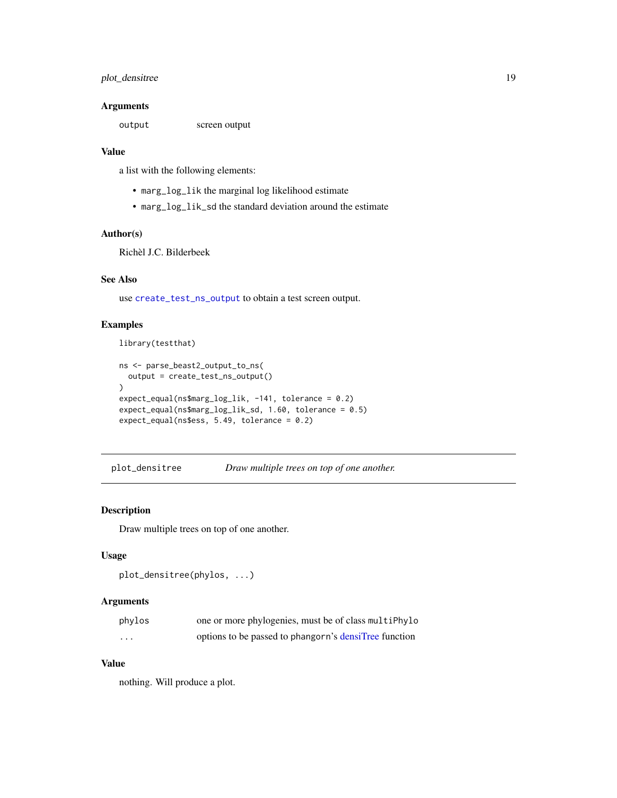# <span id="page-18-0"></span>plot\_densitree 19

# Arguments

output screen output

#### Value

a list with the following elements:

- marg\_log\_lik the marginal log likelihood estimate
- marg\_log\_lik\_sd the standard deviation around the estimate

# Author(s)

Richèl J.C. Bilderbeek

# See Also

use [create\\_test\\_ns\\_output](#page-11-1) to obtain a test screen output.

# Examples

library(testthat)

```
ns <- parse_beast2_output_to_ns(
  output = create_test_ns_output()
\mathcal{L}expect_equal(ns$marg_log_lik, -141, tolerance = 0.2)
expect_equal(ns$marg_log_lik_sd, 1.60, tolerance = 0.5)
expect_equal(ns$ess, 5.49, tolerance = 0.2)
```
plot\_densitree *Draw multiple trees on top of one another.*

# Description

Draw multiple trees on top of one another.

#### Usage

```
plot_densitree(phylos, ...)
```
# Arguments

| phylos  | one or more phylogenies, must be of class multiPhylo  |
|---------|-------------------------------------------------------|
| $\cdot$ | options to be passed to phangorn's densiTree function |

# Value

nothing. Will produce a plot.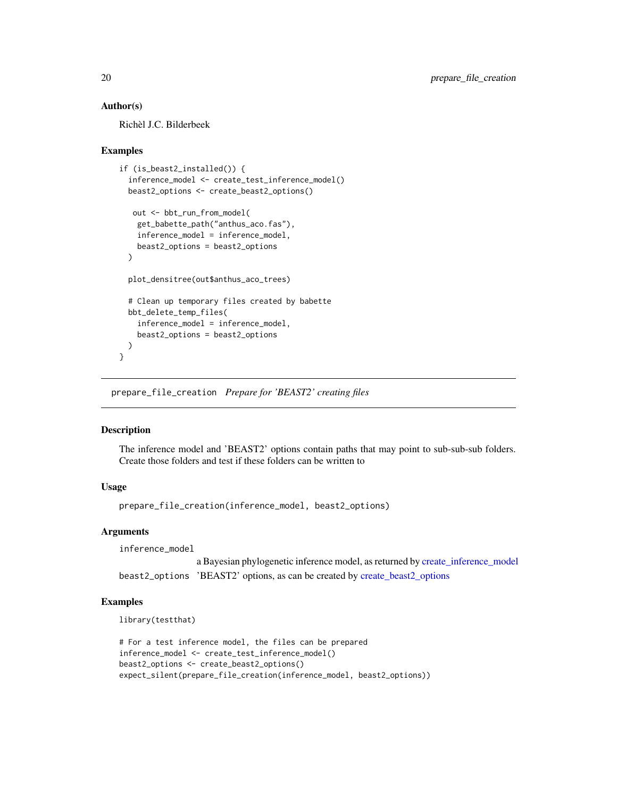# Author(s)

Richèl J.C. Bilderbeek

# Examples

```
if (is_beast2_installed()) {
  inference_model <- create_test_inference_model()
 beast2_options <- create_beast2_options()
  out <- bbt_run_from_model(
   get_babette_path("anthus_aco.fas"),
   inference_model = inference_model,
   beast2_options = beast2_options
 )
 plot_densitree(out$anthus_aco_trees)
 # Clean up temporary files created by babette
 bbt_delete_temp_files(
    inference_model = inference_model,
   beast2_options = beast2_options
 )
}
```
prepare\_file\_creation *Prepare for 'BEAST2' creating files*

# Description

The inference model and 'BEAST2' options contain paths that may point to sub-sub-sub folders. Create those folders and test if these folders can be written to

# Usage

prepare\_file\_creation(inference\_model, beast2\_options)

# Arguments

inference\_model

a Bayesian phylogenetic inference model, as returned by [create\\_inference\\_model](#page-0-0) beast2\_options 'BEAST2' options, as can be created by [create\\_beast2\\_options](#page-0-0)

# Examples

```
library(testthat)
```

```
# For a test inference model, the files can be prepared
inference_model <- create_test_inference_model()
beast2_options <- create_beast2_options()
expect_silent(prepare_file_creation(inference_model, beast2_options))
```
<span id="page-19-0"></span>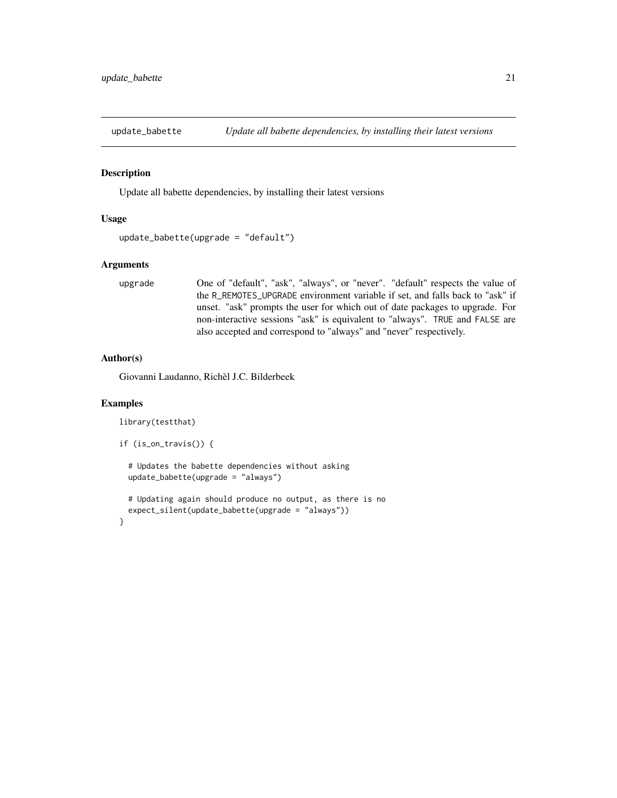<span id="page-20-0"></span>

# Description

Update all babette dependencies, by installing their latest versions

#### Usage

```
update_babette(upgrade = "default")
```
# Arguments

```
upgrade One of "default", "ask", "always", or "never". "default" respects the value of
                  the R_REMOTES_UPGRADE environment variable if set, and falls back to "ask" if
                  unset. "ask" prompts the user for which out of date packages to upgrade. For
                  non-interactive sessions "ask" is equivalent to "always". TRUE and FALSE are
                  also accepted and correspond to "always" and "never" respectively.
```
#### Author(s)

Giovanni Laudanno, Richèl J.C. Bilderbeek

# Examples

```
library(testthat)
```

```
if (is_on_travis()) {
```

```
# Updates the babette dependencies without asking
update_babette(upgrade = "always")
```

```
# Updating again should produce no output, as there is no
 expect_silent(update_babette(upgrade = "always"))
}
```